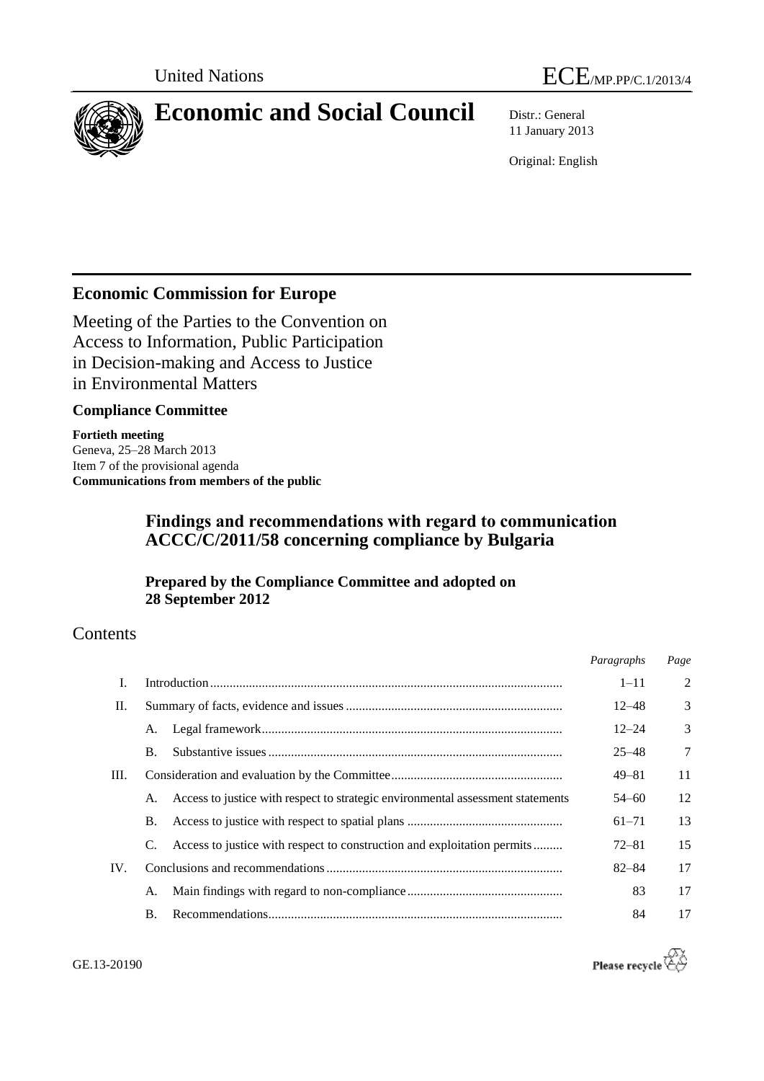



# **Economic and Social Council** Distr.: General

11 January 2013

Original: English

# **Economic Commission for Europe**

Meeting of the Parties to the Convention on Access to Information, Public Participation in Decision-making and Access to Justice in Environmental Matters

# **Compliance Committee**

**Fortieth meeting** Geneva, 25–28 March 2013 Item 7 of the provisional agenda **Communications from members of the public**

# **Findings and recommendations with regard to communication ACCC/C/2011/58 concerning compliance by Bulgaria**

# **Prepared by the Compliance Committee and adopted on 28 September 2012**

# **Contents**

|     |                |                                                                                 | Paragraphs | Page          |
|-----|----------------|---------------------------------------------------------------------------------|------------|---------------|
| L   |                |                                                                                 | $1 - 11$   | $\mathcal{D}$ |
| П.  |                |                                                                                 | $12 - 48$  | $\mathcal{R}$ |
|     | A.             |                                                                                 | $12 - 24$  | $\mathcal{R}$ |
|     | $\mathbf{B}$ . |                                                                                 | $25 - 48$  | 7             |
| Ш.  |                |                                                                                 | $49 - 81$  | 11            |
|     | A.             | Access to justice with respect to strategic environmental assessment statements | $54 - 60$  | 12            |
|     | <b>B.</b>      |                                                                                 | $61 - 71$  | 13            |
|     | C.             | Access to justice with respect to construction and exploitation permits         | 72–81      | 15            |
| IV. |                |                                                                                 | $82 - 84$  | 17            |
|     | А.             |                                                                                 | 83         | 17            |
|     | <b>B.</b>      |                                                                                 | 84         | 17            |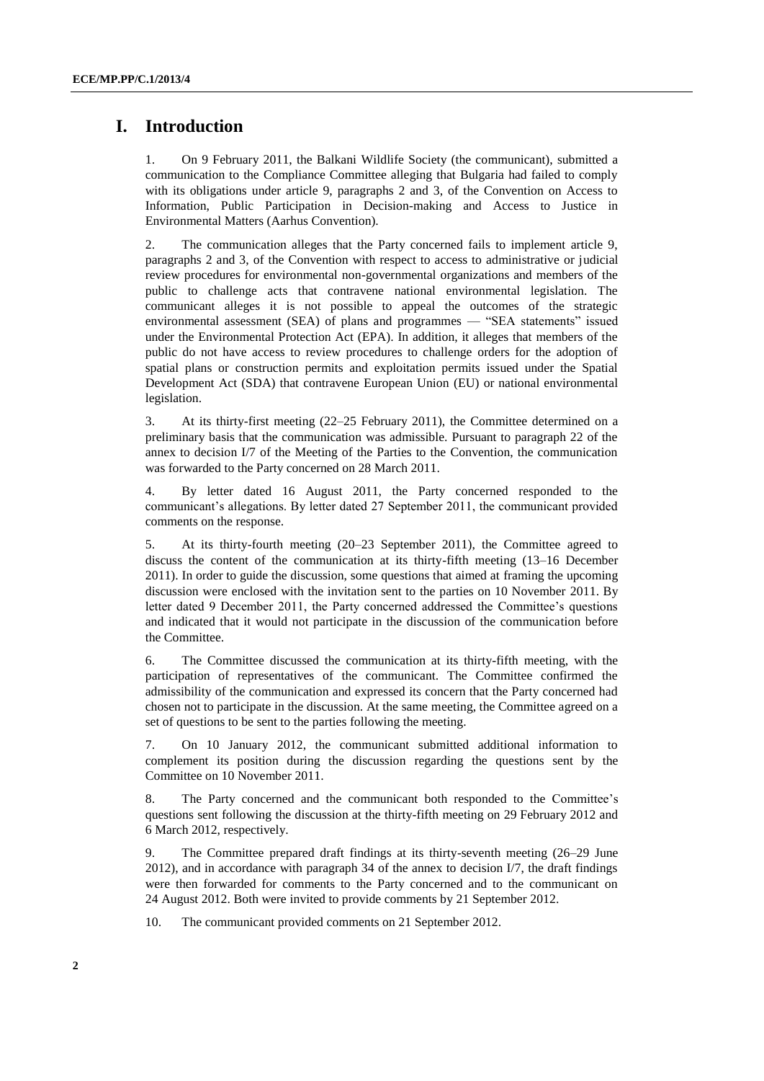# **I. Introduction**

1. On 9 February 2011, the Balkani Wildlife Society (the communicant), submitted a communication to the Compliance Committee alleging that Bulgaria had failed to comply with its obligations under article 9, paragraphs 2 and 3, of the Convention on Access to Information, Public Participation in Decision-making and Access to Justice in Environmental Matters (Aarhus Convention).

2. The communication alleges that the Party concerned fails to implement article 9, paragraphs 2 and 3, of the Convention with respect to access to administrative or judicial review procedures for environmental non-governmental organizations and members of the public to challenge acts that contravene national environmental legislation. The communicant alleges it is not possible to appeal the outcomes of the strategic environmental assessment (SEA) of plans and programmes — "SEA statements" issued under the Environmental Protection Act (EPA). In addition, it alleges that members of the public do not have access to review procedures to challenge orders for the adoption of spatial plans or construction permits and exploitation permits issued under the Spatial Development Act (SDA) that contravene European Union (EU) or national environmental legislation.

3. At its thirty-first meeting (22–25 February 2011), the Committee determined on a preliminary basis that the communication was admissible. Pursuant to paragraph 22 of the annex to decision I/7 of the Meeting of the Parties to the Convention, the communication was forwarded to the Party concerned on 28 March 2011.

4. By letter dated 16 August 2011, the Party concerned responded to the communicant's allegations. By letter dated 27 September 2011, the communicant provided comments on the response.

5. At its thirty-fourth meeting (20–23 September 2011), the Committee agreed to discuss the content of the communication at its thirty-fifth meeting (13–16 December 2011). In order to guide the discussion, some questions that aimed at framing the upcoming discussion were enclosed with the invitation sent to the parties on 10 November 2011. By letter dated 9 December 2011, the Party concerned addressed the Committee's questions and indicated that it would not participate in the discussion of the communication before the Committee.

6. The Committee discussed the communication at its thirty-fifth meeting, with the participation of representatives of the communicant. The Committee confirmed the admissibility of the communication and expressed its concern that the Party concerned had chosen not to participate in the discussion. At the same meeting, the Committee agreed on a set of questions to be sent to the parties following the meeting.

7. On 10 January 2012, the communicant submitted additional information to complement its position during the discussion regarding the questions sent by the Committee on 10 November 2011.

8. The Party concerned and the communicant both responded to the Committee's questions sent following the discussion at the thirty-fifth meeting on 29 February 2012 and 6 March 2012, respectively.

9. The Committee prepared draft findings at its thirty-seventh meeting (26–29 June 2012), and in accordance with paragraph 34 of the annex to decision I/7, the draft findings were then forwarded for comments to the Party concerned and to the communicant on 24 August 2012. Both were invited to provide comments by 21 September 2012.

10. The communicant provided comments on 21 September 2012.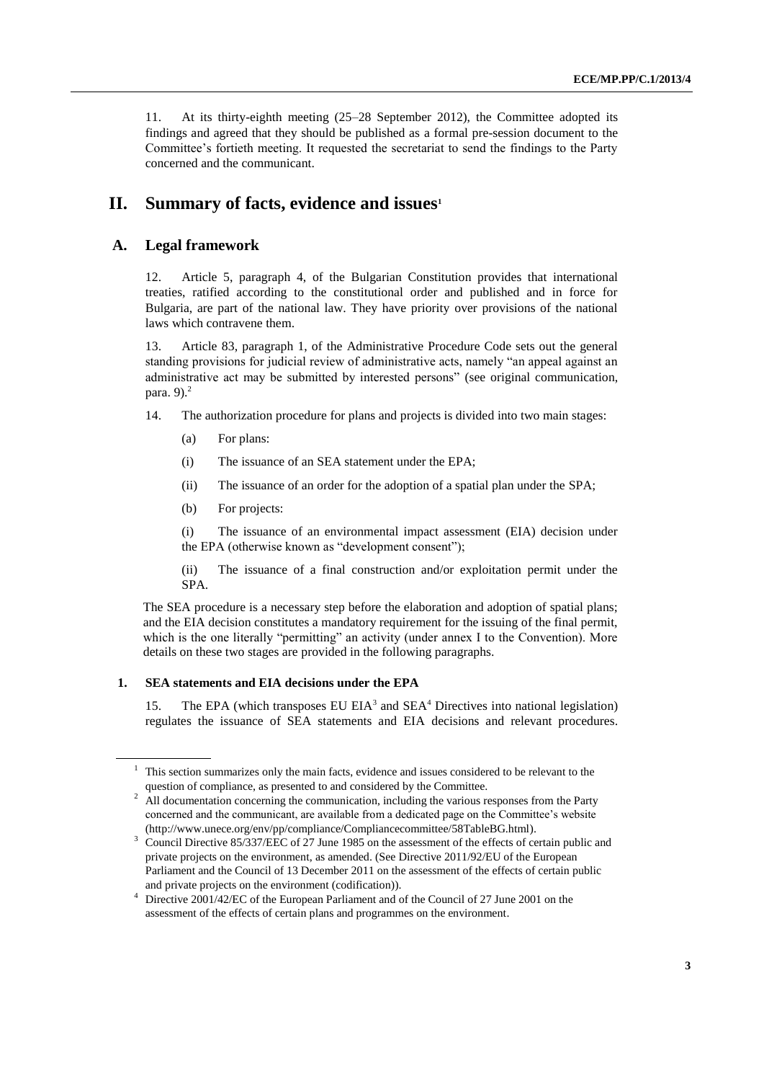11. At its thirty-eighth meeting (25–28 September 2012), the Committee adopted its findings and agreed that they should be published as a formal pre-session document to the Committee's fortieth meeting. It requested the secretariat to send the findings to the Party concerned and the communicant.

# **II. Summary of facts, evidence and issues<sup>1</sup>**

### **A. Legal framework**

12. Article 5, paragraph 4, of the Bulgarian Constitution provides that international treaties, ratified according to the constitutional order and published and in force for Bulgaria, are part of the national law. They have priority over provisions of the national laws which contravene them.

13. Article 83, paragraph 1, of the Administrative Procedure Code sets out the general standing provisions for judicial review of administrative acts, namely "an appeal against an administrative act may be submitted by interested persons" (see original communication, para.  $9$ ). $^{2}$ 

14. The authorization procedure for plans and projects is divided into two main stages:

- (a) For plans:
- (i) The issuance of an SEA statement under the EPA;
- (ii) The issuance of an order for the adoption of a spatial plan under the SPA;
- (b) For projects:

(i) The issuance of an environmental impact assessment (EIA) decision under the EPA (otherwise known as "development consent");

(ii) The issuance of a final construction and/or exploitation permit under the SPA.

The SEA procedure is a necessary step before the elaboration and adoption of spatial plans; and the EIA decision constitutes a mandatory requirement for the issuing of the final permit, which is the one literally "permitting" an activity (under annex I to the Convention). More details on these two stages are provided in the following paragraphs.

#### **1. SEA statements and EIA decisions under the EPA**

15. The EPA (which transposes EU EIA<sup>3</sup> and SEA<sup>4</sup> Directives into national legislation) regulates the issuance of SEA statements and EIA decisions and relevant procedures.

 $1$ . This section summarizes only the main facts, evidence and issues considered to be relevant to the question of compliance, as presented to and considered by the Committee.

<sup>&</sup>lt;sup>2</sup> All documentation concerning the communication, including the various responses from the Party concerned and the communicant, are available from a dedicated page on the Committee's website (http://www.unece.org/env/pp/compliance/Compliancecommittee/58TableBG.html).

<sup>&</sup>lt;sup>3</sup> Council Directive 85/337/EEC of 27 June 1985 on the assessment of the effects of certain public and private projects on the environment, as amended. (See Directive 2011/92/EU of the European Parliament and the Council of 13 December 2011 on the assessment of the effects of certain public and private projects on the environment (codification)).

<sup>&</sup>lt;sup>4</sup> Directive 2001/42/EC of the European Parliament and of the Council of 27 June 2001 on the assessment of the effects of certain plans and programmes on the environment.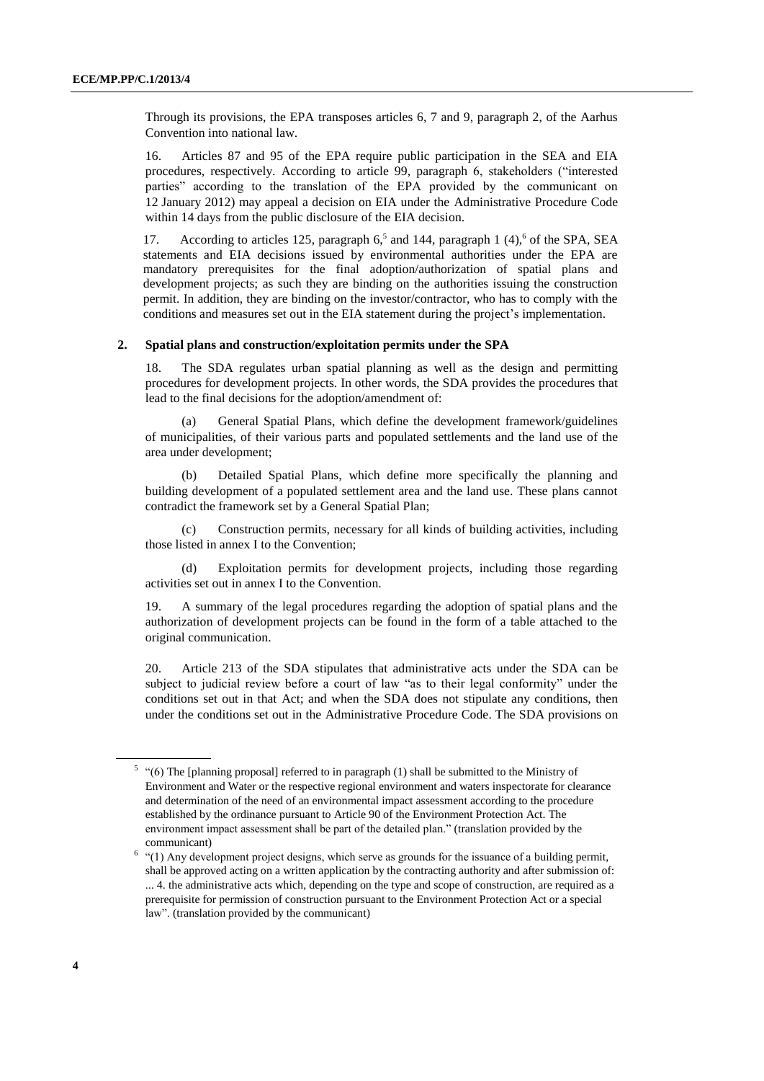Through its provisions, the EPA transposes articles 6, 7 and 9, paragraph 2, of the Aarhus Convention into national law.

16. Articles 87 and 95 of the EPA require public participation in the SEA and EIA procedures, respectively. According to article 99, paragraph 6, stakeholders ("interested parties" according to the translation of the EPA provided by the communicant on 12 January 2012) may appeal a decision on EIA under the Administrative Procedure Code within 14 days from the public disclosure of the EIA decision.

17. According to articles 125, paragraph  $6<sup>5</sup>$  and 144, paragraph 1 (4),  $6$  of the SPA, SEA statements and EIA decisions issued by environmental authorities under the EPA are mandatory prerequisites for the final adoption/authorization of spatial plans and development projects; as such they are binding on the authorities issuing the construction permit. In addition, they are binding on the investor/contractor, who has to comply with the conditions and measures set out in the EIA statement during the project's implementation.

#### **2. Spatial plans and construction/exploitation permits under the SPA**

18. The SDA regulates urban spatial planning as well as the design and permitting procedures for development projects. In other words, the SDA provides the procedures that lead to the final decisions for the adoption/amendment of:

General Spatial Plans, which define the development framework/guidelines of municipalities, of their various parts and populated settlements and the land use of the area under development;

(b) Detailed Spatial Plans, which define more specifically the planning and building development of a populated settlement area and the land use. These plans cannot contradict the framework set by a General Spatial Plan;

(c) Construction permits, necessary for all kinds of building activities, including those listed in annex I to the Convention;

(d) Exploitation permits for development projects, including those regarding activities set out in annex I to the Convention.

19. A summary of the legal procedures regarding the adoption of spatial plans and the authorization of development projects can be found in the form of a table attached to the original communication.

20. Article 213 of the SDA stipulates that administrative acts under the SDA can be subject to judicial review before a court of law "as to their legal conformity" under the conditions set out in that Act; and when the SDA does not stipulate any conditions, then under the conditions set out in the Administrative Procedure Code. The SDA provisions on

 $5$  "(6) The [planning proposal] referred to in paragraph (1) shall be submitted to the Ministry of Environment and Water or the respective regional environment and waters inspectorate for clearance and determination of the need of an environmental impact assessment according to the procedure established by the ordinance pursuant to Article 90 of the Environment Protection Act. The environment impact assessment shall be part of the detailed plan." (translation provided by the communicant)

 $6$  "(1) Any development project designs, which serve as grounds for the issuance of a building permit, shall be approved acting on a written application by the contracting authority and after submission of: ... 4. the administrative acts which, depending on the type and scope of construction, are required as a prerequisite for permission of construction pursuant to the Environment Protection Act or a special law". (translation provided by the communicant)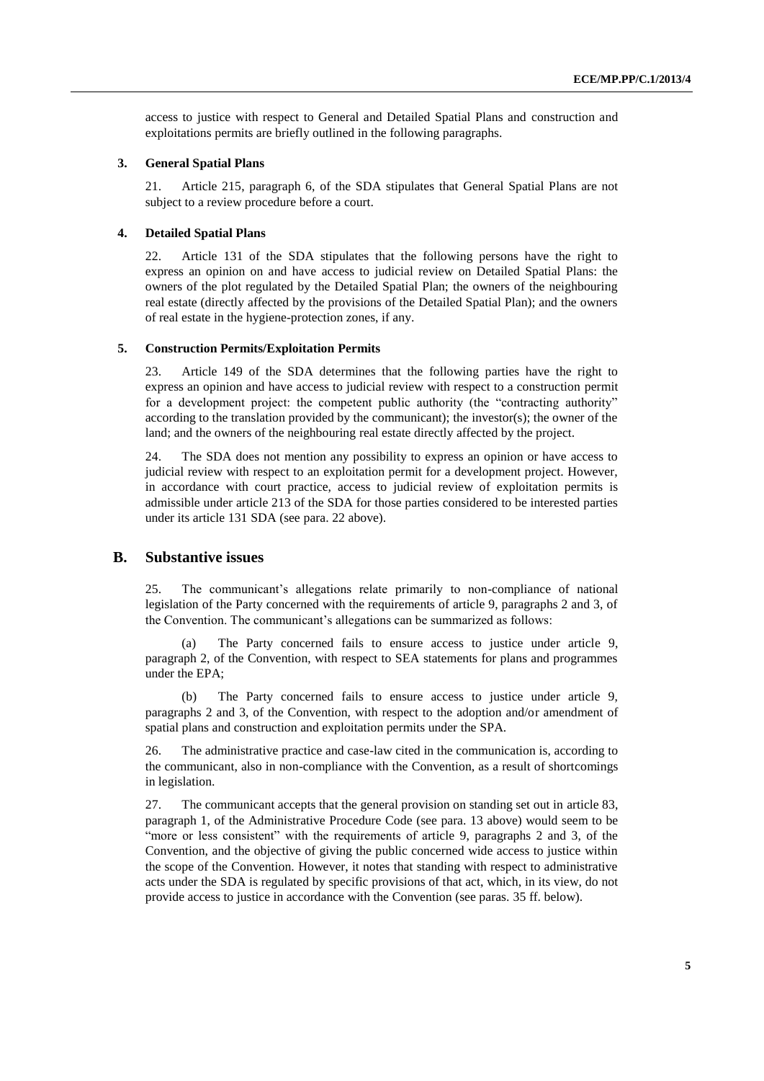access to justice with respect to General and Detailed Spatial Plans and construction and exploitations permits are briefly outlined in the following paragraphs.

#### **3. General Spatial Plans**

21. Article 215, paragraph 6, of the SDA stipulates that General Spatial Plans are not subject to a review procedure before a court.

#### **4. Detailed Spatial Plans**

22. Article 131 of the SDA stipulates that the following persons have the right to express an opinion on and have access to judicial review on Detailed Spatial Plans: the owners of the plot regulated by the Detailed Spatial Plan; the owners of the neighbouring real estate (directly affected by the provisions of the Detailed Spatial Plan); and the owners of real estate in the hygiene-protection zones, if any.

#### **5. Construction Permits/Exploitation Permits**

23. Article 149 of the SDA determines that the following parties have the right to express an opinion and have access to judicial review with respect to a construction permit for a development project: the competent public authority (the "contracting authority" according to the translation provided by the communicant); the investor(s); the owner of the land; and the owners of the neighbouring real estate directly affected by the project.

24. The SDA does not mention any possibility to express an opinion or have access to judicial review with respect to an exploitation permit for a development project. However, in accordance with court practice, access to judicial review of exploitation permits is admissible under article 213 of the SDA for those parties considered to be interested parties under its article 131 SDA (see para. 22 above).

### **B. Substantive issues**

25. The communicant's allegations relate primarily to non-compliance of national legislation of the Party concerned with the requirements of article 9, paragraphs 2 and 3, of the Convention. The communicant's allegations can be summarized as follows:

(a) The Party concerned fails to ensure access to justice under article 9, paragraph 2, of the Convention, with respect to SEA statements for plans and programmes under the EPA;

(b) The Party concerned fails to ensure access to justice under article 9, paragraphs 2 and 3, of the Convention, with respect to the adoption and/or amendment of spatial plans and construction and exploitation permits under the SPA.

26. The administrative practice and case-law cited in the communication is, according to the communicant, also in non-compliance with the Convention, as a result of shortcomings in legislation.

27. The communicant accepts that the general provision on standing set out in article 83, paragraph 1, of the Administrative Procedure Code (see para. 13 above) would seem to be "more or less consistent" with the requirements of article 9, paragraphs 2 and 3, of the Convention, and the objective of giving the public concerned wide access to justice within the scope of the Convention. However, it notes that standing with respect to administrative acts under the SDA is regulated by specific provisions of that act, which, in its view, do not provide access to justice in accordance with the Convention (see paras. 35 ff. below).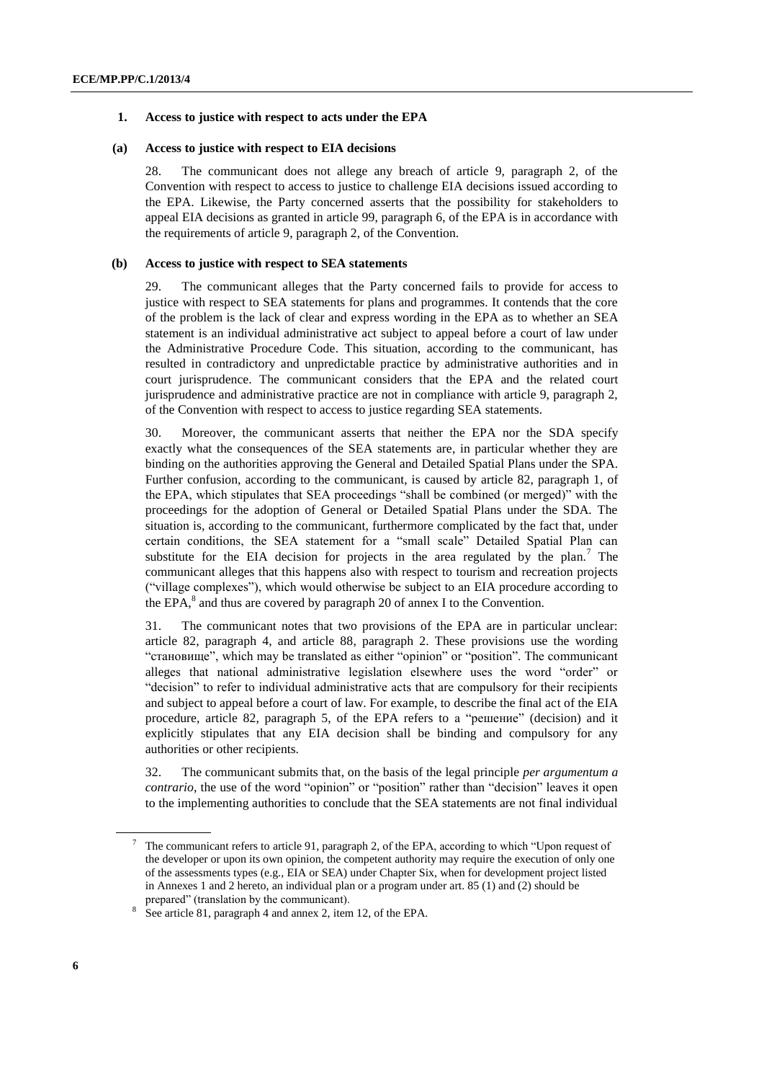#### **1. Access to justice with respect to acts under the EPA**

#### **(a) Access to justice with respect to EIA decisions**

28. The communicant does not allege any breach of article 9, paragraph 2, of the Convention with respect to access to justice to challenge EIA decisions issued according to the EPA. Likewise, the Party concerned asserts that the possibility for stakeholders to appeal EIA decisions as granted in article 99, paragraph 6, of the EPA is in accordance with the requirements of article 9, paragraph 2, of the Convention.

#### **(b) Access to justice with respect to SEA statements**

29. The communicant alleges that the Party concerned fails to provide for access to justice with respect to SEA statements for plans and programmes. It contends that the core of the problem is the lack of clear and express wording in the EPA as to whether an SEA statement is an individual administrative act subject to appeal before a court of law under the Administrative Procedure Code. This situation, according to the communicant, has resulted in contradictory and unpredictable practice by administrative authorities and in court jurisprudence. The communicant considers that the EPA and the related court jurisprudence and administrative practice are not in compliance with article 9, paragraph 2, of the Convention with respect to access to justice regarding SEA statements.

30. Moreover, the communicant asserts that neither the EPA nor the SDA specify exactly what the consequences of the SEA statements are, in particular whether they are binding on the authorities approving the General and Detailed Spatial Plans under the SPA. Further confusion, according to the communicant, is caused by article 82, paragraph 1, of the EPA, which stipulates that SEA proceedings "shall be combined (or merged)" with the proceedings for the adoption of General or Detailed Spatial Plans under the SDA. The situation is, according to the communicant, furthermore complicated by the fact that, under certain conditions, the SEA statement for a "small scale" Detailed Spatial Plan can substitute for the EIA decision for projects in the area regulated by the plan.<sup>7</sup> The communicant alleges that this happens also with respect to tourism and recreation projects ("village complexes"), which would otherwise be subject to an EIA procedure according to the EPA, $^8$  and thus are covered by paragraph 20 of annex I to the Convention.

31. The communicant notes that two provisions of the EPA are in particular unclear: article 82, paragraph 4, and article 88, paragraph 2. These provisions use the wording "становище", which may be translated as either "opinion" or "position". The communicant alleges that national administrative legislation elsewhere uses the word "order" or "decision" to refer to individual administrative acts that are compulsory for their recipients and subject to appeal before a court of law. For example, to describe the final act of the EIA procedure, article 82, paragraph 5, of the EPA refers to a "решение" (decision) and it explicitly stipulates that any EIA decision shall be binding and compulsory for any authorities or other recipients.

32. The communicant submits that, on the basis of the legal principle *per argumentum a contrario*, the use of the word "opinion" or "position" rather than "decision" leaves it open to the implementing authorities to conclude that the SEA statements are not final individual

<sup>7</sup> The communicant refers to article 91, paragraph 2, of the EPA, according to which "Upon request of the developer or upon its own opinion, the competent authority may require the execution of only one of the assessments types (e.g., EIA or SEA) under Chapter Six, when for development project listed in Annexes 1 and 2 hereto, an individual plan or a program under art. 85 (1) and (2) should be prepared" (translation by the communicant).

<sup>8</sup> See article 81, paragraph 4 and annex 2, item 12, of the EPA.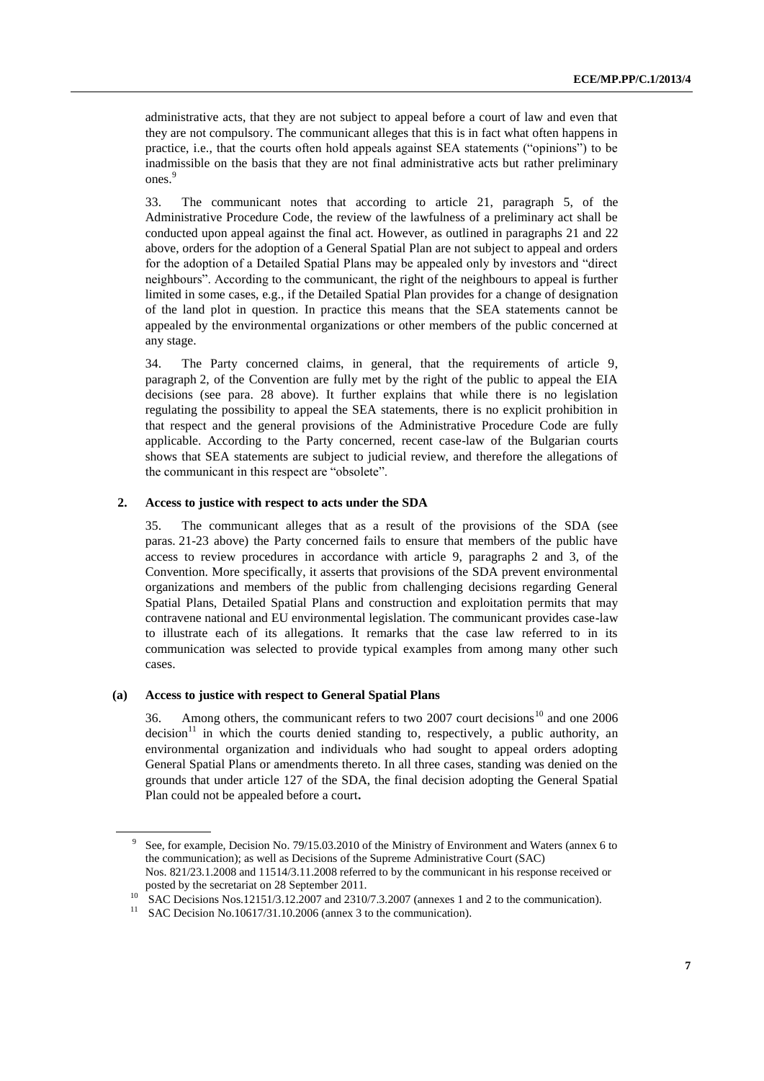administrative acts, that they are not subject to appeal before a court of law and even that they are not compulsory. The communicant alleges that this is in fact what often happens in practice, i.e., that the courts often hold appeals against SEA statements ("opinions") to be inadmissible on the basis that they are not final administrative acts but rather preliminary ones.<sup>9</sup>

33. The communicant notes that according to article 21, paragraph 5, of the Administrative Procedure Code, the review of the lawfulness of a preliminary act shall be conducted upon appeal against the final act. However, as outlined in paragraphs 21 and 22 above, orders for the adoption of a General Spatial Plan are not subject to appeal and orders for the adoption of a Detailed Spatial Plans may be appealed only by investors and "direct neighbours". According to the communicant, the right of the neighbours to appeal is further limited in some cases, e.g., if the Detailed Spatial Plan provides for a change of designation of the land plot in question. In practice this means that the SEA statements cannot be appealed by the environmental organizations or other members of the public concerned at any stage.

34. The Party concerned claims, in general, that the requirements of article 9, paragraph 2, of the Convention are fully met by the right of the public to appeal the EIA decisions (see para. 28 above). It further explains that while there is no legislation regulating the possibility to appeal the SEA statements, there is no explicit prohibition in that respect and the general provisions of the Administrative Procedure Code are fully applicable. According to the Party concerned, recent case-law of the Bulgarian courts shows that SEA statements are subject to judicial review, and therefore the allegations of the communicant in this respect are "obsolete".

#### **2. Access to justice with respect to acts under the SDA**

35. The communicant alleges that as a result of the provisions of the SDA (see paras. 21-23 above) the Party concerned fails to ensure that members of the public have access to review procedures in accordance with article 9, paragraphs 2 and 3, of the Convention. More specifically, it asserts that provisions of the SDA prevent environmental organizations and members of the public from challenging decisions regarding General Spatial Plans, Detailed Spatial Plans and construction and exploitation permits that may contravene national and EU environmental legislation. The communicant provides case-law to illustrate each of its allegations. It remarks that the case law referred to in its communication was selected to provide typical examples from among many other such cases.

#### **(a) Access to justice with respect to General Spatial Plans**

36. Among others, the communicant refers to two 2007 court decisions<sup>10</sup> and one 2006 decision<sup>11</sup> in which the courts denied standing to, respectively, a public authority, an environmental organization and individuals who had sought to appeal orders adopting General Spatial Plans or amendments thereto. In all three cases, standing was denied on the grounds that under article 127 of the SDA, the final decision adopting the General Spatial Plan could not be appealed before a court**.** 

<sup>9</sup> See, for example, Decision No. 79/15.03.2010 of the Ministry of Environment and Waters (annex 6 to the communication); as well as Decisions of the Supreme Administrative Court (SAC) Nos. 821/23.1.2008 and 11514/3.11.2008 referred to by the communicant in his response received or posted by the secretariat on 28 September 2011.

<sup>&</sup>lt;sup>10</sup> SAC Decisions Nos.12151/3.12.2007 and 2310/7.3.2007 (annexes 1 and 2 to the communication).

SAC Decision No.10617/31.10.2006 (annex 3 to the communication).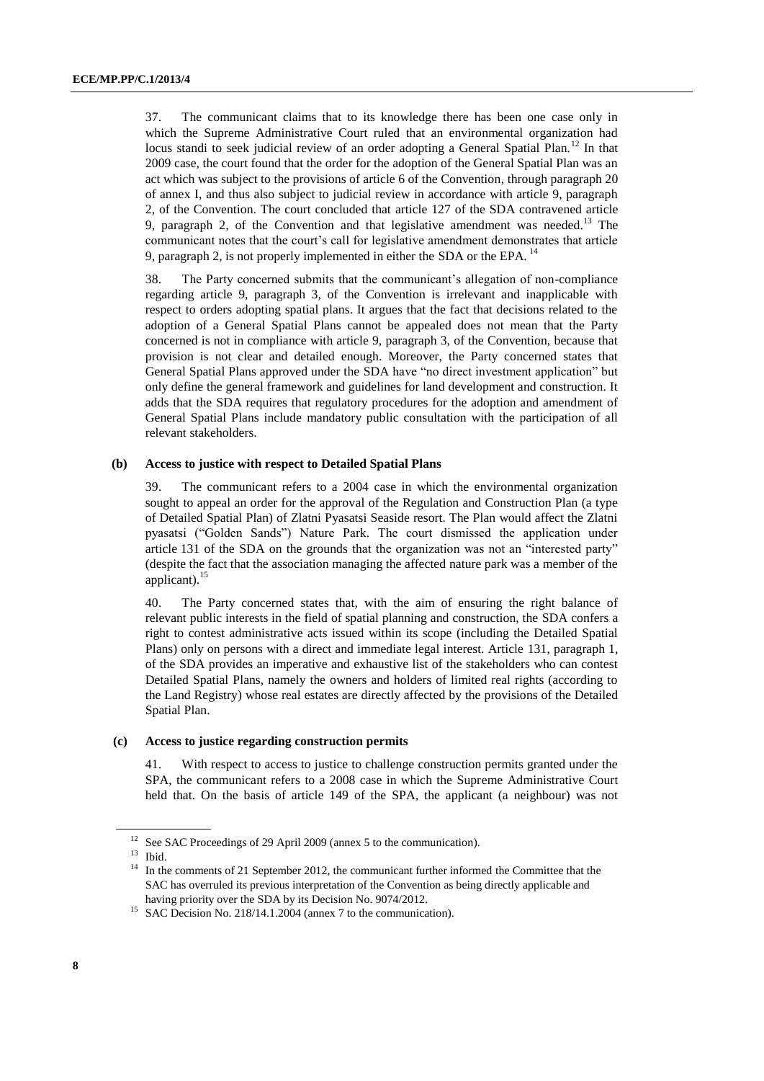37. The communicant claims that to its knowledge there has been one case only in which the Supreme Administrative Court ruled that an environmental organization had locus standi to seek judicial review of an order adopting a General Spatial Plan.<sup>12</sup> In that 2009 case, the court found that the order for the adoption of the General Spatial Plan was an act which was subject to the provisions of article 6 of the Convention, through paragraph 20 of annex I, and thus also subject to judicial review in accordance with article 9, paragraph 2, of the Convention. The court concluded that article 127 of the SDA contravened article 9, paragraph 2, of the Convention and that legislative amendment was needed.<sup>13</sup> The communicant notes that the court's call for legislative amendment demonstrates that article 9, paragraph 2, is not properly implemented in either the SDA or the EPA.  $^{14}$ 

38. The Party concerned submits that the communicant's allegation of non-compliance regarding article 9, paragraph 3, of the Convention is irrelevant and inapplicable with respect to orders adopting spatial plans. It argues that the fact that decisions related to the adoption of a General Spatial Plans cannot be appealed does not mean that the Party concerned is not in compliance with article 9, paragraph 3, of the Convention, because that provision is not clear and detailed enough. Moreover, the Party concerned states that General Spatial Plans approved under the SDA have "no direct investment application" but only define the general framework and guidelines for land development and construction. It adds that the SDA requires that regulatory procedures for the adoption and amendment of General Spatial Plans include mandatory public consultation with the participation of all relevant stakeholders.

#### **(b) Access to justice with respect to Detailed Spatial Plans**

39. The communicant refers to a 2004 case in which the environmental organization sought to appeal an order for the approval of the Regulation and Construction Plan (a type of Detailed Spatial Plan) of Zlatni Pyasatsi Seaside resort. The Plan would affect the Zlatni pyasatsi ("Golden Sands") Nature Park. The court dismissed the application under article 131 of the SDA on the grounds that the organization was not an "interested party" (despite the fact that the association managing the affected nature park was a member of the applicant).<sup>15</sup>

40. The Party concerned states that, with the aim of ensuring the right balance of relevant public interests in the field of spatial planning and construction, the SDA confers a right to contest administrative acts issued within its scope (including the Detailed Spatial Plans) only on persons with a direct and immediate legal interest. Article 131, paragraph 1, of the SDA provides an imperative and exhaustive list of the stakeholders who can contest Detailed Spatial Plans, namely the owners and holders of limited real rights (according to the Land Registry) whose real estates are directly affected by the provisions of the Detailed Spatial Plan.

#### **(c) Access to justice regarding construction permits**

41. With respect to access to justice to challenge construction permits granted under the SPA, the communicant refers to a 2008 case in which the Supreme Administrative Court held that. On the basis of article 149 of the SPA, the applicant (a neighbour) was not

<sup>&</sup>lt;sup>12</sup> See SAC Proceedings of 29 April 2009 (annex 5 to the communication).

<sup>13</sup> Ibid.

<sup>&</sup>lt;sup>14</sup> In the comments of 21 September 2012, the communicant further informed the Committee that the SAC has overruled its previous interpretation of the Convention as being directly applicable and having priority over the SDA by its Decision No. 9074/2012.

<sup>&</sup>lt;sup>15</sup> SAC Decision No. 218/14.1.2004 (annex 7 to the communication).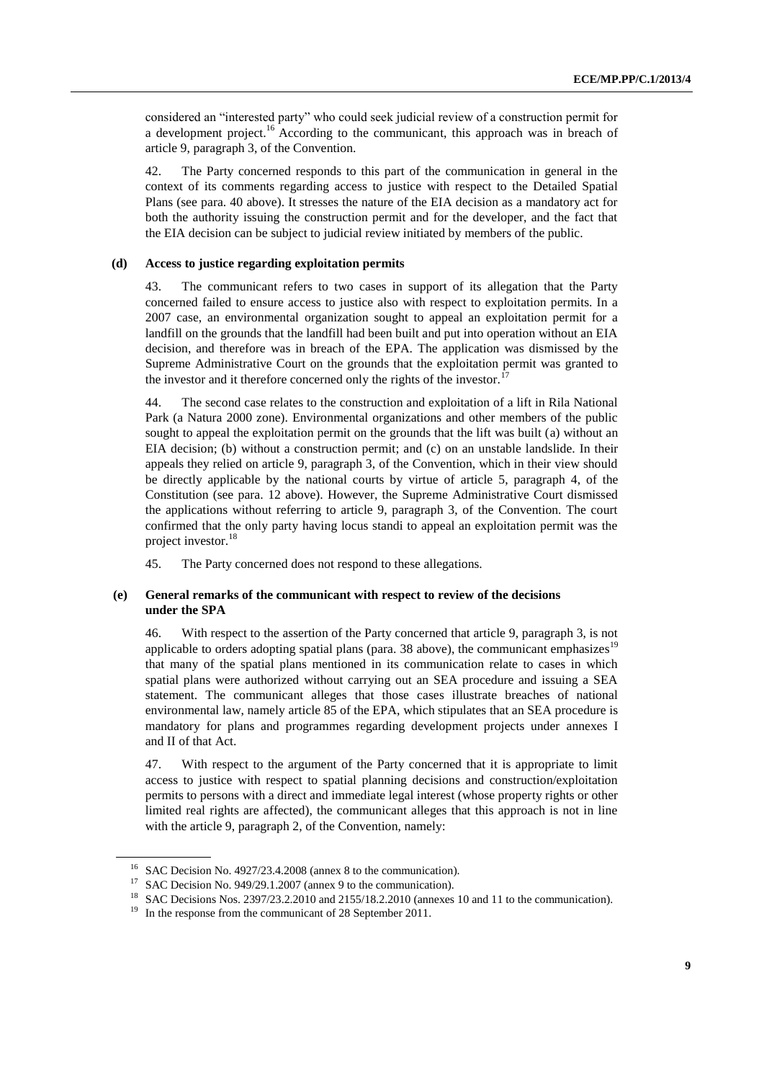considered an "interested party" who could seek judicial review of a construction permit for a development project.<sup>16</sup> According to the communicant, this approach was in breach of article 9, paragraph 3, of the Convention.

42. The Party concerned responds to this part of the communication in general in the context of its comments regarding access to justice with respect to the Detailed Spatial Plans (see para. 40 above). It stresses the nature of the EIA decision as a mandatory act for both the authority issuing the construction permit and for the developer, and the fact that the EIA decision can be subject to judicial review initiated by members of the public.

### **(d) Access to justice regarding exploitation permits**

43. The communicant refers to two cases in support of its allegation that the Party concerned failed to ensure access to justice also with respect to exploitation permits. In a 2007 case, an environmental organization sought to appeal an exploitation permit for a landfill on the grounds that the landfill had been built and put into operation without an EIA decision, and therefore was in breach of the EPA. The application was dismissed by the Supreme Administrative Court on the grounds that the exploitation permit was granted to the investor and it therefore concerned only the rights of the investor.<sup>17</sup>

44. The second case relates to the construction and exploitation of a lift in Rila National Park (a Natura 2000 zone). Environmental organizations and other members of the public sought to appeal the exploitation permit on the grounds that the lift was built (a) without an EIA decision; (b) without a construction permit; and (c) on an unstable landslide. In their appeals they relied on article 9, paragraph 3, of the Convention, which in their view should be directly applicable by the national courts by virtue of article 5, paragraph 4, of the Constitution (see para. 12 above). However, the Supreme Administrative Court dismissed the applications without referring to article 9, paragraph 3, of the Convention. The court confirmed that the only party having locus standi to appeal an exploitation permit was the project investor.<sup>18</sup>

45. The Party concerned does not respond to these allegations.

#### **(e) General remarks of the communicant with respect to review of the decisions under the SPA**

46. With respect to the assertion of the Party concerned that article 9, paragraph 3, is not applicable to orders adopting spatial plans (para. 38 above), the communicant emphasizes<sup>19</sup> that many of the spatial plans mentioned in its communication relate to cases in which spatial plans were authorized without carrying out an SEA procedure and issuing a SEA statement. The communicant alleges that those cases illustrate breaches of national environmental law, namely article 85 of the EPA, which stipulates that an SEA procedure is mandatory for plans and programmes regarding development projects under annexes I and II of that Act.

47. With respect to the argument of the Party concerned that it is appropriate to limit access to justice with respect to spatial planning decisions and construction/exploitation permits to persons with a direct and immediate legal interest (whose property rights or other limited real rights are affected), the communicant alleges that this approach is not in line with the article 9, paragraph 2, of the Convention, namely:

<sup>&</sup>lt;sup>16</sup> SAC Decision No. 4927/23.4.2008 (annex 8 to the communication).

<sup>&</sup>lt;sup>17</sup> SAC Decision No. 949/29.1.2007 (annex 9 to the communication).

<sup>18</sup> SAC Decisions Nos. 2397/23.2.2010 and 2155/18.2.2010 (annexes 10 and 11 to the communication).

<sup>&</sup>lt;sup>19</sup> In the response from the communicant of 28 September 2011.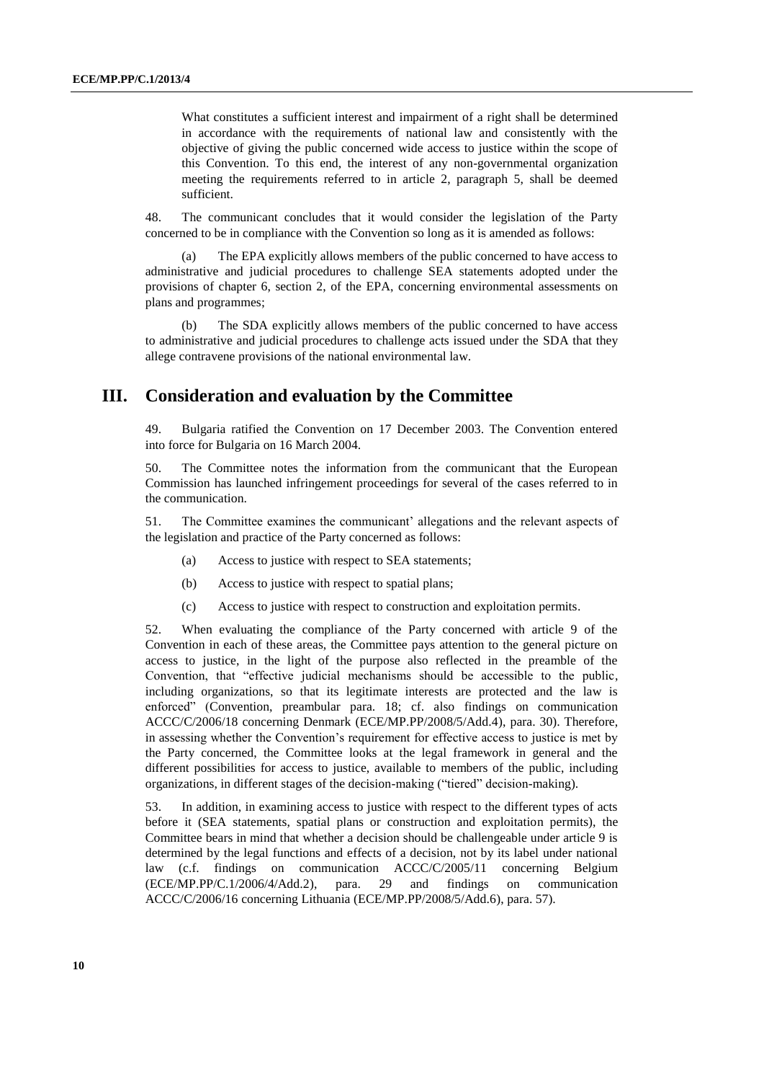What constitutes a sufficient interest and impairment of a right shall be determined in accordance with the requirements of national law and consistently with the objective of giving the public concerned wide access to justice within the scope of this Convention. To this end, the interest of any non-governmental organization meeting the requirements referred to in article 2, paragraph 5, shall be deemed sufficient.

48. The communicant concludes that it would consider the legislation of the Party concerned to be in compliance with the Convention so long as it is amended as follows:

The EPA explicitly allows members of the public concerned to have access to administrative and judicial procedures to challenge SEA statements adopted under the provisions of chapter 6, section 2, of the EPA, concerning environmental assessments on plans and programmes;

(b) The SDA explicitly allows members of the public concerned to have access to administrative and judicial procedures to challenge acts issued under the SDA that they allege contravene provisions of the national environmental law.

## **III. Consideration and evaluation by the Committee**

49. Bulgaria ratified the Convention on 17 December 2003. The Convention entered into force for Bulgaria on 16 March 2004.

50. The Committee notes the information from the communicant that the European Commission has launched infringement proceedings for several of the cases referred to in the communication.

51. The Committee examines the communicant' allegations and the relevant aspects of the legislation and practice of the Party concerned as follows:

- (a) Access to justice with respect to SEA statements;
- (b) Access to justice with respect to spatial plans;
- (c) Access to justice with respect to construction and exploitation permits.

52. When evaluating the compliance of the Party concerned with article 9 of the Convention in each of these areas, the Committee pays attention to the general picture on access to justice, in the light of the purpose also reflected in the preamble of the Convention, that "effective judicial mechanisms should be accessible to the public, including organizations, so that its legitimate interests are protected and the law is enforced" (Convention, preambular para. 18; cf. also findings on communication ACCC/C/2006/18 concerning Denmark (ECE/MP.PP/2008/5/Add.4), para. 30). Therefore, in assessing whether the Convention's requirement for effective access to justice is met by the Party concerned, the Committee looks at the legal framework in general and the different possibilities for access to justice, available to members of the public, including organizations, in different stages of the decision-making ("tiered" decision-making).

53. In addition, in examining access to justice with respect to the different types of acts before it (SEA statements, spatial plans or construction and exploitation permits), the Committee bears in mind that whether a decision should be challengeable under article 9 is determined by the legal functions and effects of a decision, not by its label under national law (c.f. findings on communication ACCC/C/2005/11 concerning Belgium (ECE/MP.PP/C.1/2006/4/Add.2), para. 29 and findings on communication ACCC/C/2006/16 concerning Lithuania (ECE/MP.PP/2008/5/Add.6), para. 57).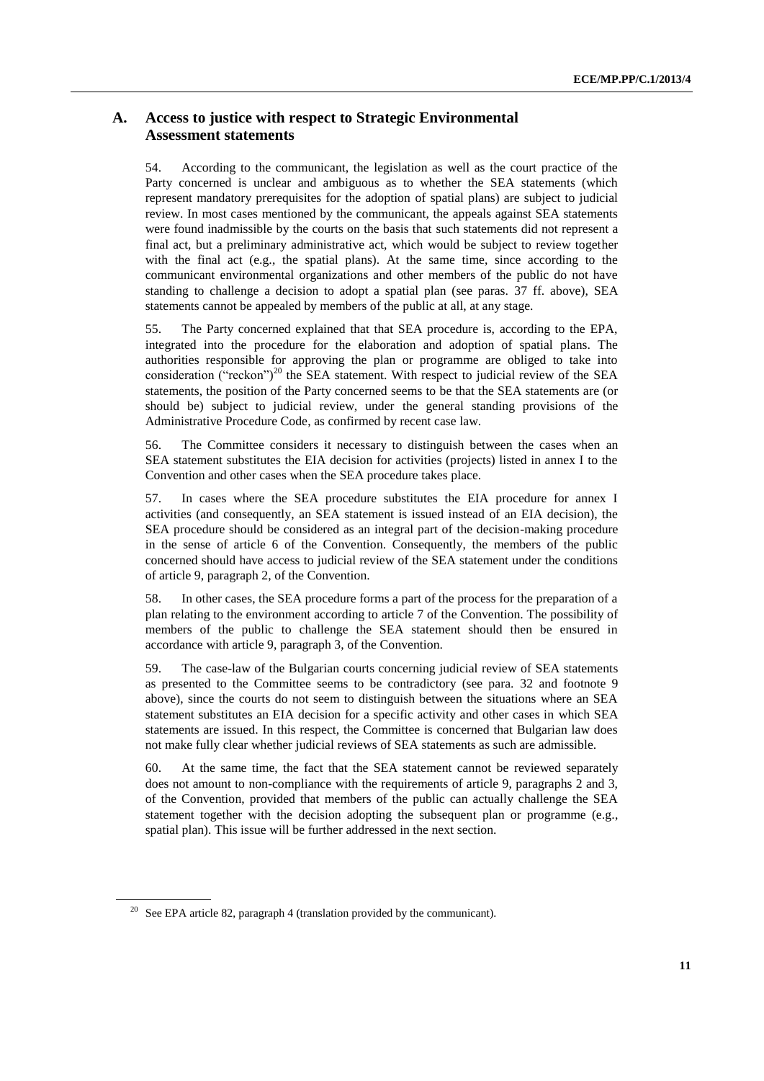### **A. Access to justice with respect to Strategic Environmental Assessment statements**

54. According to the communicant, the legislation as well as the court practice of the Party concerned is unclear and ambiguous as to whether the SEA statements (which represent mandatory prerequisites for the adoption of spatial plans) are subject to judicial review. In most cases mentioned by the communicant, the appeals against SEA statements were found inadmissible by the courts on the basis that such statements did not represent a final act, but a preliminary administrative act, which would be subject to review together with the final act (e.g., the spatial plans). At the same time, since according to the communicant environmental organizations and other members of the public do not have standing to challenge a decision to adopt a spatial plan (see paras. 37 ff. above), SEA statements cannot be appealed by members of the public at all, at any stage.

55. The Party concerned explained that that SEA procedure is, according to the EPA, integrated into the procedure for the elaboration and adoption of spatial plans. The authorities responsible for approving the plan or programme are obliged to take into consideration ("reckon")<sup>20</sup> the SEA statement. With respect to judicial review of the SEA statements, the position of the Party concerned seems to be that the SEA statements are (or should be) subject to judicial review, under the general standing provisions of the Administrative Procedure Code, as confirmed by recent case law.

56. The Committee considers it necessary to distinguish between the cases when an SEA statement substitutes the EIA decision for activities (projects) listed in annex I to the Convention and other cases when the SEA procedure takes place.

57. In cases where the SEA procedure substitutes the EIA procedure for annex I activities (and consequently, an SEA statement is issued instead of an EIA decision), the SEA procedure should be considered as an integral part of the decision-making procedure in the sense of article 6 of the Convention. Consequently, the members of the public concerned should have access to judicial review of the SEA statement under the conditions of article 9, paragraph 2, of the Convention.

58. In other cases, the SEA procedure forms a part of the process for the preparation of a plan relating to the environment according to article 7 of the Convention. The possibility of members of the public to challenge the SEA statement should then be ensured in accordance with article 9, paragraph 3, of the Convention.

59. The case-law of the Bulgarian courts concerning judicial review of SEA statements as presented to the Committee seems to be contradictory (see para. 32 and footnote 9 above), since the courts do not seem to distinguish between the situations where an SEA statement substitutes an EIA decision for a specific activity and other cases in which SEA statements are issued. In this respect, the Committee is concerned that Bulgarian law does not make fully clear whether judicial reviews of SEA statements as such are admissible.

60. At the same time, the fact that the SEA statement cannot be reviewed separately does not amount to non-compliance with the requirements of article 9, paragraphs 2 and 3, of the Convention, provided that members of the public can actually challenge the SEA statement together with the decision adopting the subsequent plan or programme (e.g., spatial plan). This issue will be further addressed in the next section.

 $20$  See EPA article 82, paragraph 4 (translation provided by the communicant).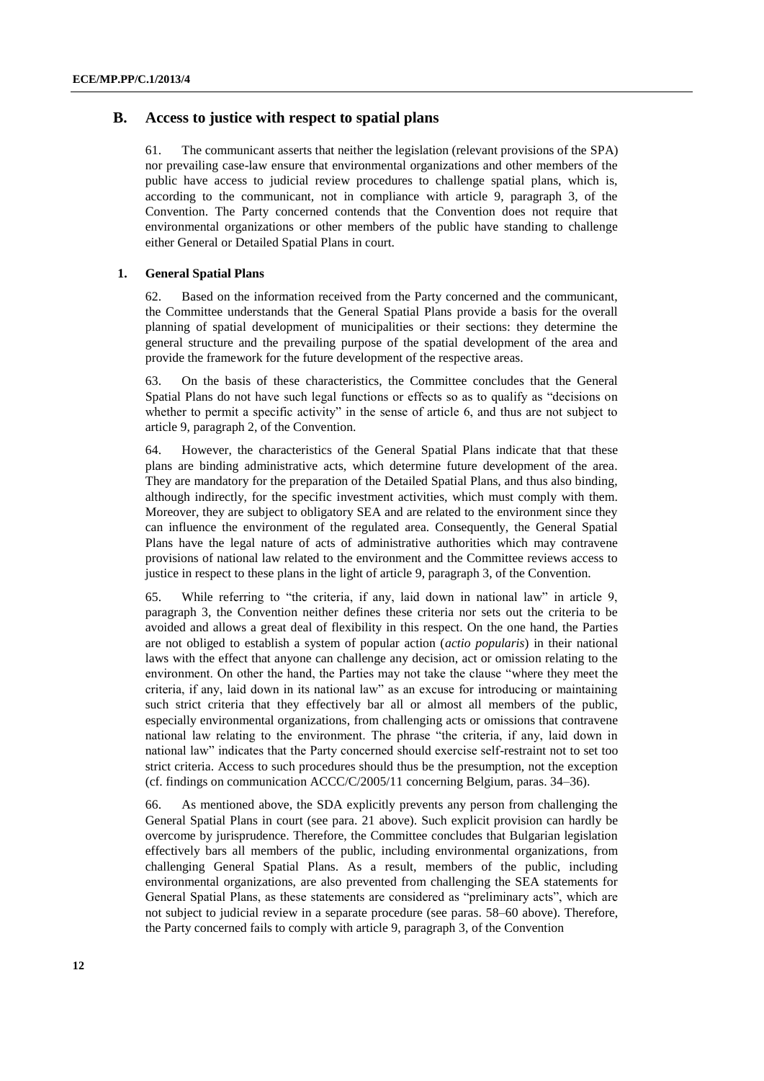### **B. Access to justice with respect to spatial plans**

61. The communicant asserts that neither the legislation (relevant provisions of the SPA) nor prevailing case-law ensure that environmental organizations and other members of the public have access to judicial review procedures to challenge spatial plans, which is, according to the communicant, not in compliance with article 9, paragraph 3, of the Convention. The Party concerned contends that the Convention does not require that environmental organizations or other members of the public have standing to challenge either General or Detailed Spatial Plans in court.

### **1. General Spatial Plans**

62. Based on the information received from the Party concerned and the communicant, the Committee understands that the General Spatial Plans provide a basis for the overall planning of spatial development of municipalities or their sections: they determine the general structure and the prevailing purpose of the spatial development of the area and provide the framework for the future development of the respective areas.

63. On the basis of these characteristics, the Committee concludes that the General Spatial Plans do not have such legal functions or effects so as to qualify as "decisions on whether to permit a specific activity" in the sense of article 6, and thus are not subject to article 9, paragraph 2, of the Convention.

64. However, the characteristics of the General Spatial Plans indicate that that these plans are binding administrative acts, which determine future development of the area. They are mandatory for the preparation of the Detailed Spatial Plans, and thus also binding, although indirectly, for the specific investment activities, which must comply with them. Moreover, they are subject to obligatory SEA and are related to the environment since they can influence the environment of the regulated area. Consequently, the General Spatial Plans have the legal nature of acts of administrative authorities which may contravene provisions of national law related to the environment and the Committee reviews access to justice in respect to these plans in the light of article 9, paragraph 3, of the Convention.

65. While referring to "the criteria, if any, laid down in national law" in article 9, paragraph 3, the Convention neither defines these criteria nor sets out the criteria to be avoided and allows a great deal of flexibility in this respect. On the one hand, the Parties are not obliged to establish a system of popular action (*actio popularis*) in their national laws with the effect that anyone can challenge any decision, act or omission relating to the environment. On other the hand, the Parties may not take the clause "where they meet the criteria, if any, laid down in its national law" as an excuse for introducing or maintaining such strict criteria that they effectively bar all or almost all members of the public, especially environmental organizations, from challenging acts or omissions that contravene national law relating to the environment. The phrase "the criteria, if any, laid down in national law" indicates that the Party concerned should exercise self-restraint not to set too strict criteria. Access to such procedures should thus be the presumption, not the exception (cf. findings on communication ACCC/C/2005/11 concerning Belgium, paras. 34–36).

66. As mentioned above, the SDA explicitly prevents any person from challenging the General Spatial Plans in court (see para. 21 above). Such explicit provision can hardly be overcome by jurisprudence. Therefore, the Committee concludes that Bulgarian legislation effectively bars all members of the public, including environmental organizations, from challenging General Spatial Plans. As a result, members of the public, including environmental organizations, are also prevented from challenging the SEA statements for General Spatial Plans, as these statements are considered as "preliminary acts", which are not subject to judicial review in a separate procedure (see paras. 58–60 above). Therefore, the Party concerned fails to comply with article 9, paragraph 3, of the Convention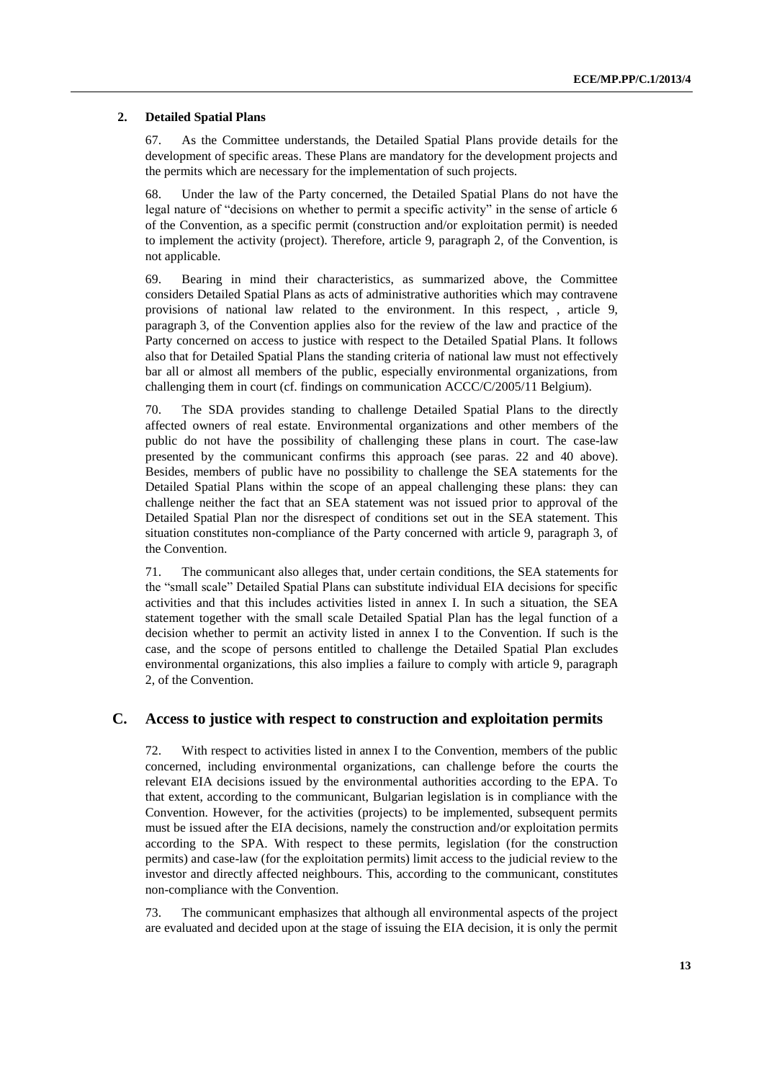#### **2. Detailed Spatial Plans**

67. As the Committee understands, the Detailed Spatial Plans provide details for the development of specific areas. These Plans are mandatory for the development projects and the permits which are necessary for the implementation of such projects.

68. Under the law of the Party concerned, the Detailed Spatial Plans do not have the legal nature of "decisions on whether to permit a specific activity" in the sense of article 6 of the Convention, as a specific permit (construction and/or exploitation permit) is needed to implement the activity (project). Therefore, article 9, paragraph 2, of the Convention, is not applicable.

69. Bearing in mind their characteristics, as summarized above, the Committee considers Detailed Spatial Plans as acts of administrative authorities which may contravene provisions of national law related to the environment. In this respect, , article 9, paragraph 3, of the Convention applies also for the review of the law and practice of the Party concerned on access to justice with respect to the Detailed Spatial Plans. It follows also that for Detailed Spatial Plans the standing criteria of national law must not effectively bar all or almost all members of the public, especially environmental organizations, from challenging them in court (cf. findings on communication ACCC/C/2005/11 Belgium).

70. The SDA provides standing to challenge Detailed Spatial Plans to the directly affected owners of real estate. Environmental organizations and other members of the public do not have the possibility of challenging these plans in court. The case-law presented by the communicant confirms this approach (see paras. 22 and 40 above). Besides, members of public have no possibility to challenge the SEA statements for the Detailed Spatial Plans within the scope of an appeal challenging these plans: they can challenge neither the fact that an SEA statement was not issued prior to approval of the Detailed Spatial Plan nor the disrespect of conditions set out in the SEA statement. This situation constitutes non-compliance of the Party concerned with article 9, paragraph 3, of the Convention.

71. The communicant also alleges that, under certain conditions, the SEA statements for the "small scale" Detailed Spatial Plans can substitute individual EIA decisions for specific activities and that this includes activities listed in annex I. In such a situation, the SEA statement together with the small scale Detailed Spatial Plan has the legal function of a decision whether to permit an activity listed in annex I to the Convention. If such is the case, and the scope of persons entitled to challenge the Detailed Spatial Plan excludes environmental organizations, this also implies a failure to comply with article 9, paragraph 2, of the Convention.

### **C. Access to justice with respect to construction and exploitation permits**

72. With respect to activities listed in annex I to the Convention, members of the public concerned, including environmental organizations, can challenge before the courts the relevant EIA decisions issued by the environmental authorities according to the EPA. To that extent, according to the communicant, Bulgarian legislation is in compliance with the Convention. However, for the activities (projects) to be implemented, subsequent permits must be issued after the EIA decisions, namely the construction and/or exploitation permits according to the SPA. With respect to these permits, legislation (for the construction permits) and case-law (for the exploitation permits) limit access to the judicial review to the investor and directly affected neighbours. This, according to the communicant, constitutes non-compliance with the Convention.

73. The communicant emphasizes that although all environmental aspects of the project are evaluated and decided upon at the stage of issuing the EIA decision, it is only the permit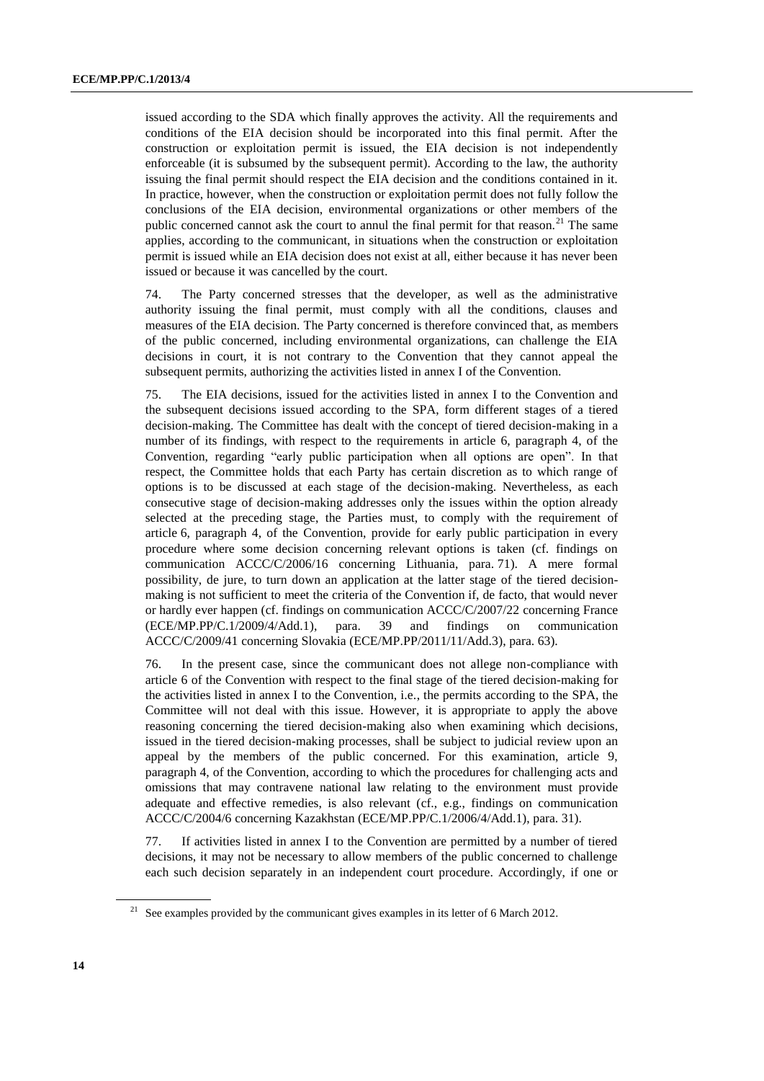issued according to the SDA which finally approves the activity. All the requirements and conditions of the EIA decision should be incorporated into this final permit. After the construction or exploitation permit is issued, the EIA decision is not independently enforceable (it is subsumed by the subsequent permit). According to the law, the authority issuing the final permit should respect the EIA decision and the conditions contained in it. In practice, however, when the construction or exploitation permit does not fully follow the conclusions of the EIA decision, environmental organizations or other members of the public concerned cannot ask the court to annul the final permit for that reason.<sup>21</sup> The same applies, according to the communicant, in situations when the construction or exploitation permit is issued while an EIA decision does not exist at all, either because it has never been issued or because it was cancelled by the court.

74. The Party concerned stresses that the developer, as well as the administrative authority issuing the final permit, must comply with all the conditions, clauses and measures of the EIA decision. The Party concerned is therefore convinced that, as members of the public concerned, including environmental organizations, can challenge the EIA decisions in court, it is not contrary to the Convention that they cannot appeal the subsequent permits, authorizing the activities listed in annex I of the Convention.

75. The EIA decisions, issued for the activities listed in annex I to the Convention and the subsequent decisions issued according to the SPA, form different stages of a tiered decision-making. The Committee has dealt with the concept of tiered decision-making in a number of its findings, with respect to the requirements in article 6, paragraph 4, of the Convention, regarding "early public participation when all options are open". In that respect, the Committee holds that each Party has certain discretion as to which range of options is to be discussed at each stage of the decision-making. Nevertheless, as each consecutive stage of decision-making addresses only the issues within the option already selected at the preceding stage, the Parties must, to comply with the requirement of article 6, paragraph 4, of the Convention, provide for early public participation in every procedure where some decision concerning relevant options is taken (cf. findings on communication ACCC/C/2006/16 concerning Lithuania, para. 71). A mere formal possibility, de jure, to turn down an application at the latter stage of the tiered decisionmaking is not sufficient to meet the criteria of the Convention if, de facto, that would never or hardly ever happen (cf. findings on communication ACCC/C/2007/22 concerning France (ECE/MP.PP/C.1/2009/4/Add.1), para. 39 and findings on communication ACCC/C/2009/41 concerning Slovakia (ECE/MP.PP/2011/11/Add.3), para. 63).

76. In the present case, since the communicant does not allege non-compliance with article 6 of the Convention with respect to the final stage of the tiered decision-making for the activities listed in annex I to the Convention, i.e., the permits according to the SPA, the Committee will not deal with this issue. However, it is appropriate to apply the above reasoning concerning the tiered decision-making also when examining which decisions, issued in the tiered decision-making processes, shall be subject to judicial review upon an appeal by the members of the public concerned. For this examination, article 9, paragraph 4, of the Convention, according to which the procedures for challenging acts and omissions that may contravene national law relating to the environment must provide adequate and effective remedies, is also relevant (cf., e.g., findings on communication ACCC/C/2004/6 concerning Kazakhstan (ECE/MP.PP/C.1/2006/4/Add.1), para. 31).

77. If activities listed in annex I to the Convention are permitted by a number of tiered decisions, it may not be necessary to allow members of the public concerned to challenge each such decision separately in an independent court procedure. Accordingly, if one or

<sup>&</sup>lt;sup>21</sup> See examples provided by the communicant gives examples in its letter of 6 March 2012.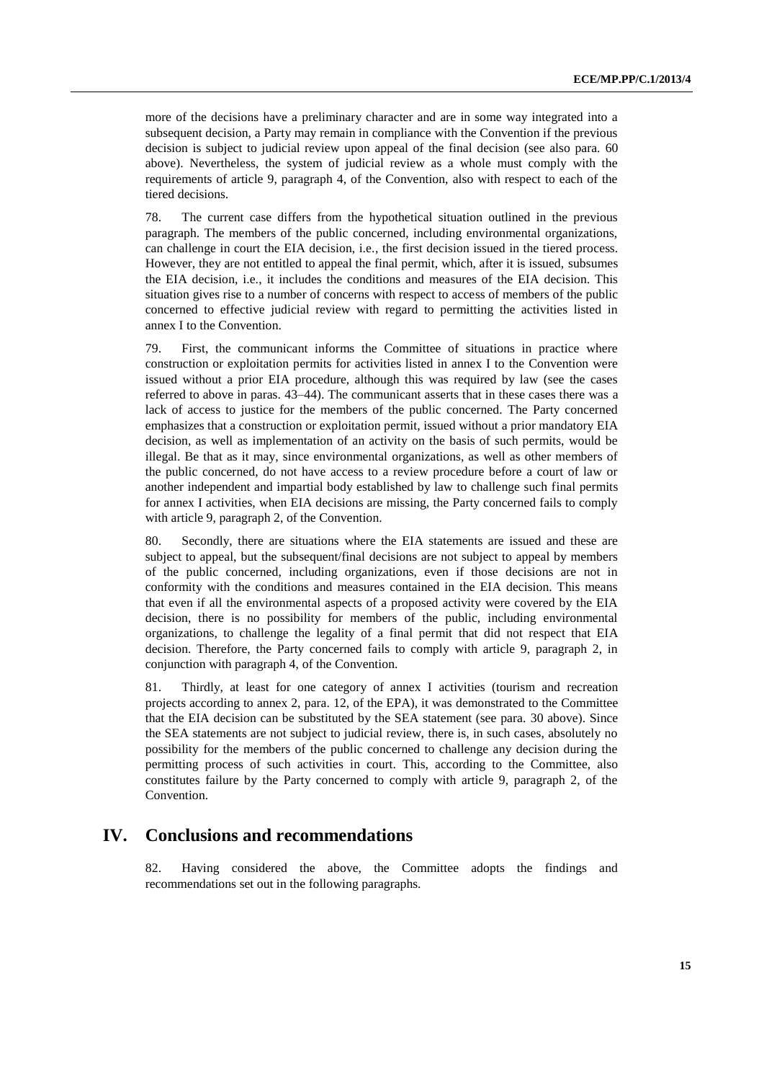more of the decisions have a preliminary character and are in some way integrated into a subsequent decision, a Party may remain in compliance with the Convention if the previous decision is subject to judicial review upon appeal of the final decision (see also para. 60 above). Nevertheless, the system of judicial review as a whole must comply with the requirements of article 9, paragraph 4, of the Convention, also with respect to each of the tiered decisions.

78. The current case differs from the hypothetical situation outlined in the previous paragraph. The members of the public concerned, including environmental organizations, can challenge in court the EIA decision, i.e., the first decision issued in the tiered process. However, they are not entitled to appeal the final permit, which, after it is issued, subsumes the EIA decision, i.e., it includes the conditions and measures of the EIA decision. This situation gives rise to a number of concerns with respect to access of members of the public concerned to effective judicial review with regard to permitting the activities listed in annex I to the Convention.

79. First, the communicant informs the Committee of situations in practice where construction or exploitation permits for activities listed in annex I to the Convention were issued without a prior EIA procedure, although this was required by law (see the cases referred to above in paras. 43–44). The communicant asserts that in these cases there was a lack of access to justice for the members of the public concerned. The Party concerned emphasizes that a construction or exploitation permit, issued without a prior mandatory EIA decision, as well as implementation of an activity on the basis of such permits, would be illegal. Be that as it may, since environmental organizations, as well as other members of the public concerned, do not have access to a review procedure before a court of law or another independent and impartial body established by law to challenge such final permits for annex I activities, when EIA decisions are missing, the Party concerned fails to comply with article 9, paragraph 2, of the Convention.

80. Secondly, there are situations where the EIA statements are issued and these are subject to appeal, but the subsequent/final decisions are not subject to appeal by members of the public concerned, including organizations, even if those decisions are not in conformity with the conditions and measures contained in the EIA decision. This means that even if all the environmental aspects of a proposed activity were covered by the EIA decision, there is no possibility for members of the public, including environmental organizations, to challenge the legality of a final permit that did not respect that EIA decision. Therefore, the Party concerned fails to comply with article 9, paragraph 2, in conjunction with paragraph 4, of the Convention.

81. Thirdly, at least for one category of annex I activities (tourism and recreation projects according to annex 2, para. 12, of the EPA), it was demonstrated to the Committee that the EIA decision can be substituted by the SEA statement (see para. 30 above). Since the SEA statements are not subject to judicial review, there is, in such cases, absolutely no possibility for the members of the public concerned to challenge any decision during the permitting process of such activities in court. This, according to the Committee, also constitutes failure by the Party concerned to comply with article 9, paragraph 2, of the Convention.

# **IV. Conclusions and recommendations**

82. Having considered the above, the Committee adopts the findings and recommendations set out in the following paragraphs.